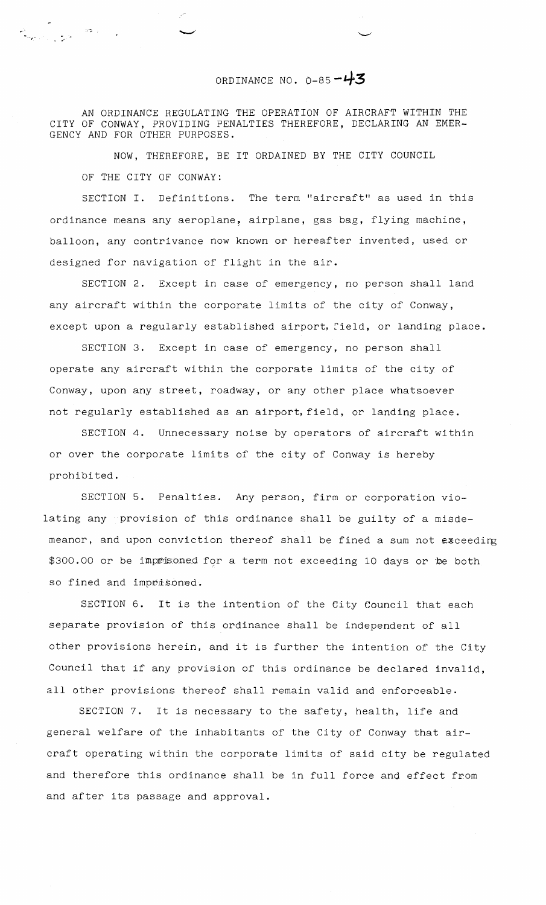## ORDINANCE NO.  $0-85 - 43$

AN ORDINANCE REGULATING THE OPERATION OF AIRCRAFT WITHIN THE CITY OF CONWAY, PROVIDING PENALTIES THEREFORE, DECLARING AN EMER-GENCY AND FOR OTHER PURPOSES.

న<br>నాలా వివాద సంగీతం<br>సాలా వివాద సంగీతం

NOW, THEREFORE, BE IT ORDAINED BY THE CITY COUNCIL OF THE CITY OF CONWAY:

SECTION I. Definitions. The term "aircraft" as used in this ordinance means any aeroplane, airplane, gas bag, flying machine, balloon, any contrivance now known or hereafter invented, used or designed for navigation of flight in the air.

SECTION 2. Except in case of emergency, no person shall land any aircraft within the corporate limits of the city of Conway, except upon a regularly established airport, field, or landing place.

SECTION 3. Except in case of emergency, no person shall operate any aircraft within the corporate limits of the city of Conway, upon any street, roadway, or any other place whatsoever not regularly established as an airport, field, or landing place.

SECTION 4. Unnecessary noise by operators of aircraft within or over the corporate limits of the city of Conway is hereby prohibited.

SECTION 5. Penalties. Any person, firm or corporation violating any provision of this ordinance shall be guilty of a misdemeanor, and upon conviction thereof shall be fined a sum not exceeding \$300.00 or be imprisoned for a term not exceeding 10 days or be both so fined and imprisoned.

SECTION 6. It is the intention of the City Council that each separate provision of this ordinance shall be independent of all other provisions herein, and it is further the intention of the City Council that if any provision of this ordinance be declared invalid, all other provisions thereof shall remain valid and enforceable.

SECTION 7. It is necessary to the safety, health, life and general welfare of the inhabitants of the City of Conway that aircraft operating within the corporate limits of said city be regulated and therefore this ordinance shall be in full force and effect from and after its passage and approval.